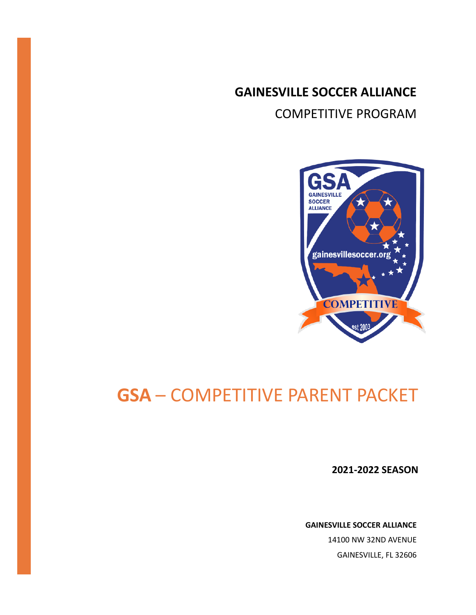**GAINESVILLE SOCCER ALLIANCE** COMPETITIVE PROGRAM



## **GSA** – COMPETITIVE PARENT PACKET

**2021-2022 SEASON**

**GAINESVILLE SOCCER ALLIANCE**

14100 NW 32ND AVENUE GAINESVILLE, FL 32606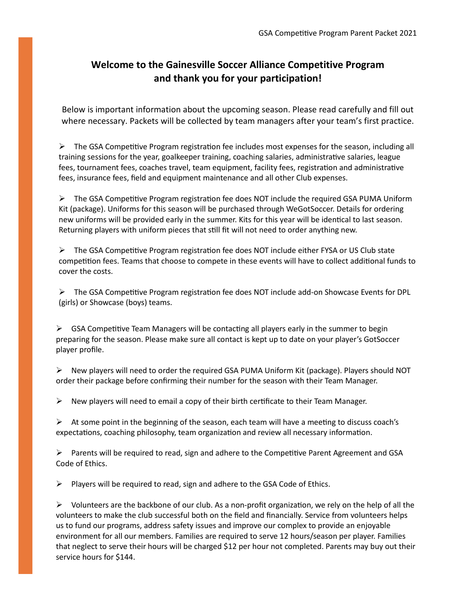## **Welcome to the Gainesville Soccer Alliance Competitive Program and thank you for your participation!**

Below is important information about the upcoming season. Please read carefully and fill out where necessary. Packets will be collected by team managers after your team's first practice.

 $\triangleright$  The GSA Competitive Program registration fee includes most expenses for the season, including all training sessions for the year, goalkeeper training, coaching salaries, administrative salaries, league fees, tournament fees, coaches travel, team equipment, facility fees, registration and administrative fees, insurance fees, field and equipment maintenance and all other Club expenses.

 $\triangleright$  The GSA Competitive Program registration fee does NOT include the required GSA PUMA Uniform Kit (package). Uniforms for this season will be purchased through WeGotSoccer. Details for ordering new uniforms will be provided early in the summer. Kits for this year will be identical to last season. Returning players with uniform pieces that still fit will not need to order anything new.

 $\triangleright$  The GSA Competitive Program registration fee does NOT include either FYSA or US Club state competition fees. Teams that choose to compete in these events will have to collect additional funds to cover the costs.

 $\triangleright$  The GSA Competitive Program registration fee does NOT include add-on Showcase Events for DPL (girls) or Showcase (boys) teams.

 $\triangleright$  GSA Competitive Team Managers will be contacting all players early in the summer to begin preparing for the season. Please make sure all contact is kept up to date on your player's GotSoccer player profile.

 $\triangleright$  New players will need to order the required GSA PUMA Uniform Kit (package). Players should NOT order their package before confirming their number for the season with their Team Manager.

 $\triangleright$  New players will need to email a copy of their birth certificate to their Team Manager.

 $\triangleright$  At some point in the beginning of the season, each team will have a meeting to discuss coach's expectations, coaching philosophy, team organization and review all necessary information.

 $\triangleright$  Parents will be required to read, sign and adhere to the Competitive Parent Agreement and GSA Code of Ethics.

 $\triangleright$  Players will be required to read, sign and adhere to the GSA Code of Ethics.

 $\triangleright$  Volunteers are the backbone of our club. As a non-profit organization, we rely on the help of all the volunteers to make the club successful both on the field and financially. Service from volunteers helps us to fund our programs, address safety issues and improve our complex to provide an enjoyable environment for all our members. Families are required to serve 12 hours/season per player. Families that neglect to serve their hours will be charged \$12 per hour not completed. Parents may buy out their service hours for \$144.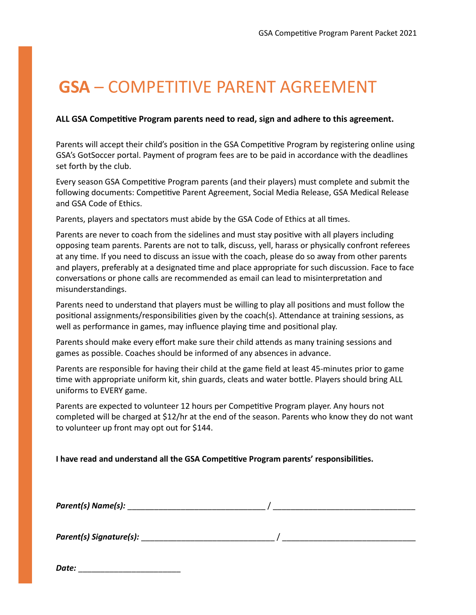## **GSA** – COMPETITIVE PARENT AGREEMENT

### ALL GSA Competitive Program parents need to read, sign and adhere to this agreement.

Parents will accept their child's position in the GSA Competitive Program by registering online using GSA's GotSoccer portal. Payment of program fees are to be paid in accordance with the deadlines set forth by the club.

Every season GSA Competitive Program parents (and their players) must complete and submit the following documents: Competitive Parent Agreement, Social Media Release, GSA Medical Release and GSA Code of Ethics.

Parents, players and spectators must abide by the GSA Code of Ethics at all times.

Parents are never to coach from the sidelines and must stay positive with all players including opposing team parents. Parents are not to talk, discuss, yell, harass or physically confront referees at any time. If you need to discuss an issue with the coach, please do so away from other parents and players, preferably at a designated time and place appropriate for such discussion. Face to face conversations or phone calls are recommended as email can lead to misinterpretation and misunderstandings.

Parents need to understand that players must be willing to play all positions and must follow the positional assignments/responsibilities given by the coach(s). Attendance at training sessions, as well as performance in games, may influence playing time and positional play.

Parents should make every effort make sure their child atends as many training sessions and games as possible. Coaches should be informed of any absences in advance.

Parents are responsible for having their child at the game field at least 45-minutes prior to game time with appropriate uniform kit, shin guards, cleats and water bottle. Players should bring ALL uniforms to EVERY game.

Parents are expected to volunteer 12 hours per Competitive Program player. Any hours not completed will be charged at \$12/hr at the end of the season. Parents who know they do not want to volunteer up front may opt out for \$144.

**I have read and understand all the GSA Competitive Program parents' responsibilities.** 

*Parent(s) Name(s):* \_\_\_\_\_\_\_\_\_\_\_\_\_\_\_\_\_\_\_\_\_\_\_\_\_\_\_\_\_\_\_ / \_\_\_\_\_\_\_\_\_\_\_\_\_\_\_\_\_\_\_\_\_\_\_\_\_\_\_\_\_\_\_\_

*Parent(s) Signature(s):* \_\_\_\_\_\_\_\_\_\_\_\_\_\_\_\_\_\_\_\_\_\_\_\_\_\_\_\_\_\_ / \_\_\_\_\_\_\_\_\_\_\_\_\_\_\_\_\_\_\_\_\_\_\_\_\_\_\_\_\_\_

*Date:* \_\_\_\_\_\_\_\_\_\_\_\_\_\_\_\_\_\_\_\_\_\_\_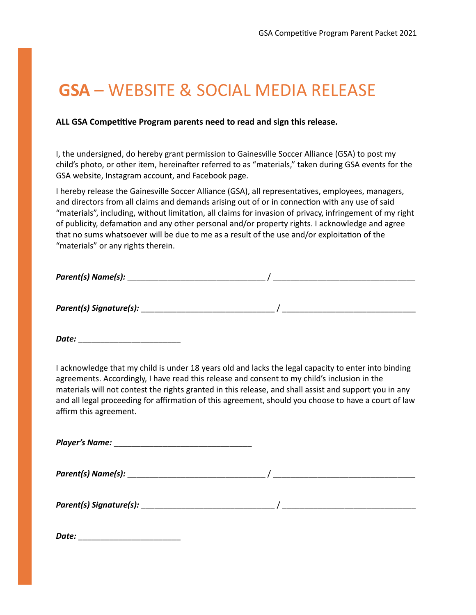## **GSA** – WEBSITE & SOCIAL MEDIA RELEASE

### ALL GSA Competitive Program parents need to read and sign this release.

I, the undersigned, do hereby grant permission to Gainesville Soccer Alliance (GSA) to post my child's photo, or other item, hereinafter referred to as "materials," taken during GSA events for the GSA website, Instagram account, and Facebook page.

I hereby release the Gainesville Soccer Alliance (GSA), all representatives, employees, managers, and directors from all claims and demands arising out of or in connection with any use of said "materials", including, without limitation, all claims for invasion of privacy, infringement of my right of publicity, defamation and any other personal and/or property rights. I acknowledge and agree that no sums whatsoever will be due to me as a result of the use and/or exploitation of the "materials" or any rights therein.

| Parent(s) Name(s): |  |
|--------------------|--|
|--------------------|--|

*Parent(s) Signature(s):* \_\_\_\_\_\_\_\_\_\_\_\_\_\_\_\_\_\_\_\_\_\_\_\_\_\_\_\_\_\_ / \_\_\_\_\_\_\_\_\_\_\_\_\_\_\_\_\_\_\_\_\_\_\_\_\_\_\_\_\_\_

*Date:* \_\_\_\_\_\_\_\_\_\_\_\_\_\_\_\_\_\_\_\_\_\_\_

I acknowledge that my child is under 18 years old and lacks the legal capacity to enter into binding agreements. Accordingly, I have read this release and consent to my child's inclusion in the materials will not contest the rights granted in this release, and shall assist and support you in any and all legal proceeding for affirmation of this agreement, should you choose to have a court of law affirm this agreement.

*Player's Name:* \_\_\_\_\_\_\_\_\_\_\_\_\_\_\_\_\_\_\_\_\_\_\_\_\_\_\_\_\_\_\_

*Parent(s) Name(s):* \_\_\_\_\_\_\_\_\_\_\_\_\_\_\_\_\_\_\_\_\_\_\_\_\_\_\_\_\_\_\_ / \_\_\_\_\_\_\_\_\_\_\_\_\_\_\_\_\_\_\_\_\_\_\_\_\_\_\_\_\_\_\_\_

*Parent(s) Signature(s):* \_\_\_\_\_\_\_\_\_\_\_\_\_\_\_\_\_\_\_\_\_\_\_\_\_\_\_\_\_\_ / \_\_\_\_\_\_\_\_\_\_\_\_\_\_\_\_\_\_\_\_\_\_\_\_\_\_\_\_\_\_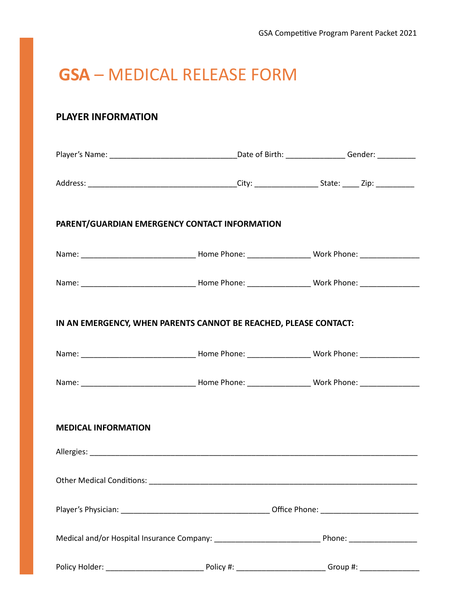## **GSA** – MEDICAL RELEASE FORM

## **PLAYER INFORMATION**

|                            | PARENT/GUARDIAN EMERGENCY CONTACT INFORMATION                                                                  |  |  |
|----------------------------|----------------------------------------------------------------------------------------------------------------|--|--|
|                            |                                                                                                                |  |  |
|                            |                                                                                                                |  |  |
|                            | IN AN EMERGENCY, WHEN PARENTS CANNOT BE REACHED, PLEASE CONTACT:                                               |  |  |
|                            |                                                                                                                |  |  |
|                            |                                                                                                                |  |  |
| <b>MEDICAL INFORMATION</b> |                                                                                                                |  |  |
|                            |                                                                                                                |  |  |
|                            |                                                                                                                |  |  |
|                            |                                                                                                                |  |  |
|                            | Medical and/or Hospital Insurance Company: ___________________________________Phone: _________________________ |  |  |
|                            |                                                                                                                |  |  |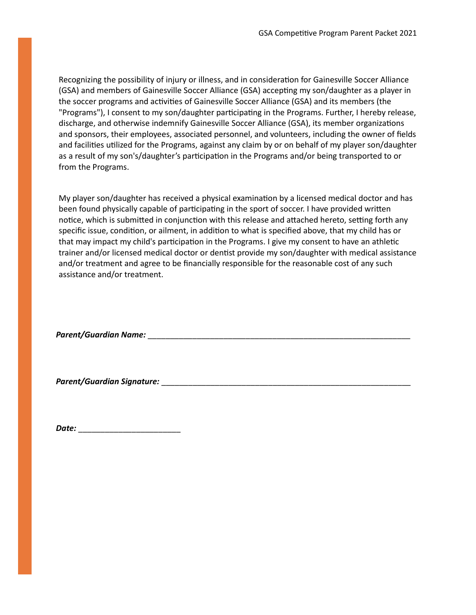Recognizing the possibility of injury or illness, and in consideration for Gainesville Soccer Alliance (GSA) and members of Gainesville Soccer Alliance (GSA) accepting my son/daughter as a player in the soccer programs and activities of Gainesville Soccer Alliance (GSA) and its members (the "Programs"), I consent to my son/daughter participating in the Programs. Further, I hereby release, discharge, and otherwise indemnify Gainesville Soccer Alliance (GSA), its member organizations and sponsors, their employees, associated personnel, and volunteers, including the owner of fields and facilities utilized for the Programs, against any claim by or on behalf of my player son/daughter as a result of my son's/daughter's participation in the Programs and/or being transported to or from the Programs.

My player son/daughter has received a physical examination by a licensed medical doctor and has been found physically capable of participating in the sport of soccer. I have provided written notice, which is submitted in conjunction with this release and attached hereto, setting forth any specific issue, condition, or ailment, in addition to what is specified above, that my child has or that may impact my child's participation in the Programs. I give my consent to have an athletic trainer and/or licensed medical doctor or dentist provide my son/daughter with medical assistance and/or treatment and agree to be financially responsible for the reasonable cost of any such assistance and/or treatment.

*Parent/Guardian Name:* \_\_\_\_\_\_\_\_\_\_\_\_\_\_\_\_\_\_\_\_\_\_\_\_\_\_\_\_\_\_\_\_\_\_\_\_\_\_\_\_\_\_\_\_\_\_\_\_\_\_\_\_\_\_\_\_\_\_\_

*Parent/Guardian Signature:* \_\_\_\_\_\_\_\_\_\_\_\_\_\_\_\_\_\_\_\_\_\_\_\_\_\_\_\_\_\_\_\_\_\_\_\_\_\_\_\_\_\_\_\_\_\_\_\_\_\_\_\_\_\_\_\_

*Date:* \_\_\_\_\_\_\_\_\_\_\_\_\_\_\_\_\_\_\_\_\_\_\_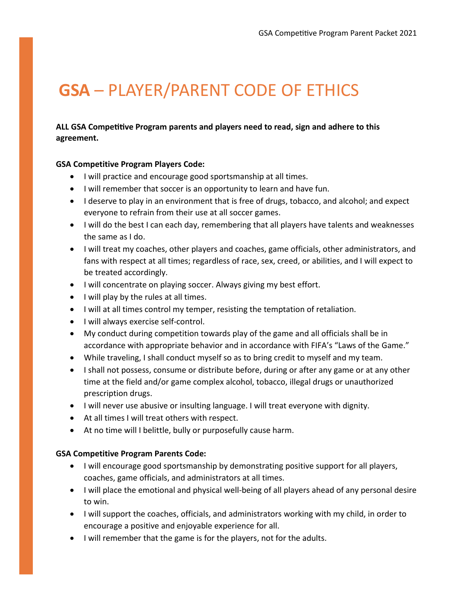# **GSA** – PLAYER/PARENT CODE OF ETHICS

### ALL GSA Competitive Program parents and players need to read, sign and adhere to this **agreement.**

#### **GSA Competitive Program Players Code:**

- I will practice and encourage good sportsmanship at all times.
- I will remember that soccer is an opportunity to learn and have fun.
- I deserve to play in an environment that is free of drugs, tobacco, and alcohol; and expect everyone to refrain from their use at all soccer games.
- I will do the best I can each day, remembering that all players have talents and weaknesses the same as I do.
- I will treat my coaches, other players and coaches, game officials, other administrators, and fans with respect at all times; regardless of race, sex, creed, or abilities, and I will expect to be treated accordingly.
- I will concentrate on playing soccer. Always giving my best effort.
- I will play by the rules at all times.
- I will at all times control my temper, resisting the temptation of retaliation.
- I will always exercise self-control.
- My conduct during competition towards play of the game and all officials shall be in accordance with appropriate behavior and in accordance with FIFA's "Laws of the Game."
- While traveling, I shall conduct myself so as to bring credit to myself and my team.
- I shall not possess, consume or distribute before, during or after any game or at any other time at the field and/or game complex alcohol, tobacco, illegal drugs or unauthorized prescription drugs.
- I will never use abusive or insulting language. I will treat everyone with dignity.
- At all times I will treat others with respect.
- At no time will I belittle, bully or purposefully cause harm.

#### **GSA Competitive Program Parents Code:**

- I will encourage good sportsmanship by demonstrating positive support for all players, coaches, game officials, and administrators at all times.
- I will place the emotional and physical well-being of all players ahead of any personal desire to win.
- I will support the coaches, officials, and administrators working with my child, in order to encourage a positive and enjoyable experience for all.
- I will remember that the game is for the players, not for the adults.